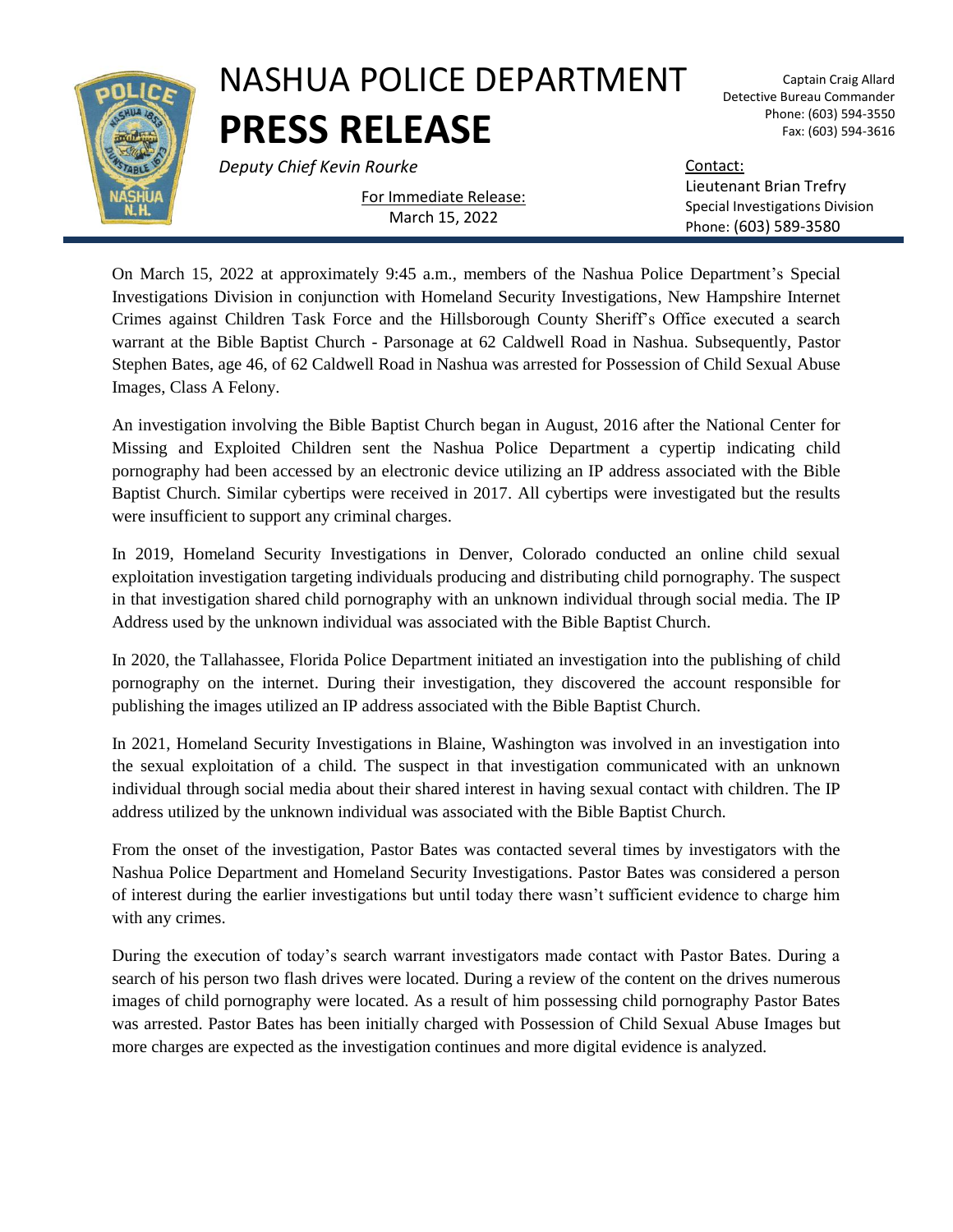

## NASHUA POLICE DEPARTMENT **PRESS RELEASE**

**Deputy Chief Kevin Rourke** Contact: Contact:

Captain Craig Allard Detective Bureau Commander Phone: (603) 594-3550 Fax: (603) 594-3616

For Immediate Release:

March 15, 2022

Lieutenant Brian Trefry Special Investigations Division Phone: (603) 589-3580

On March 15, 2022 at approximately 9:45 a.m., members of the Nashua Police Department's Special Investigations Division in conjunction with Homeland Security Investigations, New Hampshire Internet Crimes against Children Task Force and the Hillsborough County Sheriff's Office executed a search warrant at the Bible Baptist Church - Parsonage at 62 Caldwell Road in Nashua. Subsequently, Pastor Stephen Bates, age 46, of 62 Caldwell Road in Nashua was arrested for Possession of Child Sexual Abuse Images, Class A Felony.

An investigation involving the Bible Baptist Church began in August, 2016 after the National Center for Missing and Exploited Children sent the Nashua Police Department a cypertip indicating child pornography had been accessed by an electronic device utilizing an IP address associated with the Bible Baptist Church. Similar cybertips were received in 2017. All cybertips were investigated but the results were insufficient to support any criminal charges.

In 2019, Homeland Security Investigations in Denver, Colorado conducted an online child sexual exploitation investigation targeting individuals producing and distributing child pornography. The suspect in that investigation shared child pornography with an unknown individual through social media. The IP Address used by the unknown individual was associated with the Bible Baptist Church.

In 2020, the Tallahassee, Florida Police Department initiated an investigation into the publishing of child pornography on the internet. During their investigation, they discovered the account responsible for publishing the images utilized an IP address associated with the Bible Baptist Church.

In 2021, Homeland Security Investigations in Blaine, Washington was involved in an investigation into the sexual exploitation of a child. The suspect in that investigation communicated with an unknown individual through social media about their shared interest in having sexual contact with children. The IP address utilized by the unknown individual was associated with the Bible Baptist Church.

From the onset of the investigation, Pastor Bates was contacted several times by investigators with the Nashua Police Department and Homeland Security Investigations. Pastor Bates was considered a person of interest during the earlier investigations but until today there wasn't sufficient evidence to charge him with any crimes.

During the execution of today's search warrant investigators made contact with Pastor Bates. During a search of his person two flash drives were located. During a review of the content on the drives numerous images of child pornography were located. As a result of him possessing child pornography Pastor Bates was arrested. Pastor Bates has been initially charged with Possession of Child Sexual Abuse Images but more charges are expected as the investigation continues and more digital evidence is analyzed.